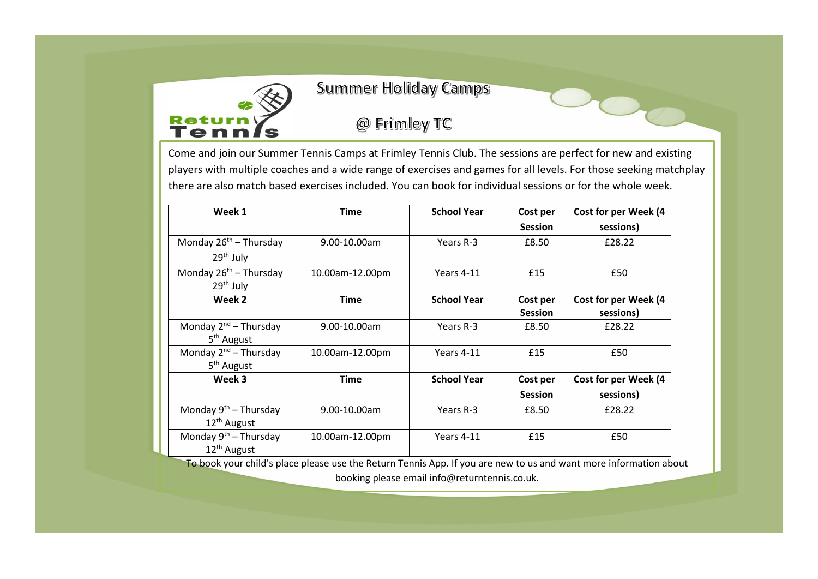

## **Summer Holiday Camps**

## @ Frimley TC

Come and join our Summer Tennis Camps at Frimley Tennis Club. The sessions are perfect for new and existing players with multiple coaches and a wide range of exercises and games for all levels. For those seeking matchplay there are also match based exercises included. You can book for individual sessions or for the whole week.

| Week 1                             | <b>Time</b>     | <b>School Year</b> | Cost per       | Cost for per Week (4 |
|------------------------------------|-----------------|--------------------|----------------|----------------------|
|                                    |                 |                    | <b>Session</b> | sessions)            |
| Monday $26^{th}$ – Thursday        | 9.00-10.00am    | Years R-3          | £8.50          | £28.22               |
| $29th$ July                        |                 |                    |                |                      |
| Monday 26 <sup>th</sup> - Thursday | 10.00am-12.00pm | Years 4-11         | £15            | £50                  |
| $29th$ July                        |                 |                    |                |                      |
| Week 2                             | <b>Time</b>     | <b>School Year</b> | Cost per       | Cost for per Week (4 |
|                                    |                 |                    | <b>Session</b> | sessions)            |
| Monday $2^{nd}$ – Thursday         | 9.00-10.00am    | Years R-3          | £8.50          | £28.22               |
| 5 <sup>th</sup> August             |                 |                    |                |                      |
| Monday $2^{nd}$ – Thursday         | 10.00am-12.00pm | Years 4-11         | £15            | £50                  |
| 5 <sup>th</sup> August             |                 |                    |                |                      |
| Week 3                             | <b>Time</b>     | <b>School Year</b> | Cost per       | Cost for per Week (4 |
|                                    |                 |                    | <b>Session</b> | sessions)            |
| Monday 9 <sup>th</sup> – Thursday  | 9.00-10.00am    | Years R-3          | £8.50          | £28.22               |
| 12 <sup>th</sup> August            |                 |                    |                |                      |
| Monday $9th$ – Thursday            | 10.00am-12.00pm | Years 4-11         | £15            | £50                  |
| 12 <sup>th</sup> August            |                 |                    |                |                      |

To book your child's place please use the Return Tennis App. If you are new to us and want more information about

booking please email info@returntennis.co.uk.